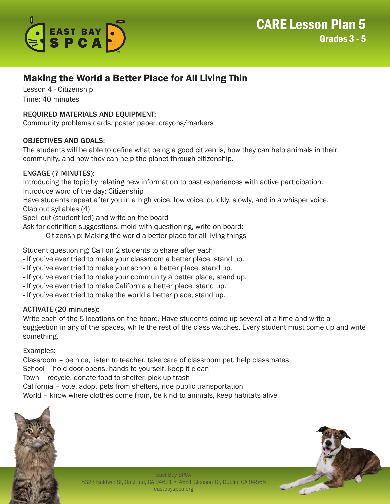

# Making the World a Better Place for All Living Thin

Lesson 4 - Citizenship Time: 40 minutes

## REQUIRED MATERIALS AND EQUIPMENT:

Community problems cards, poster paper, crayons/markers

## OBJECTIVES AND GOALS:

The students will be able to define what being a good citizen is, how they can help animals in their community, and how they can help the planet through citizenship.

#### ENGAGE (7 MINUTES):

Introducing the topic by relating new information to past experiences with active participation. Introduce word of the day: Citizenship

Have students repeat after you in a high voice, low voice, quickly, slowly, and in a whisper voice. Clap out syllables (4)

Spell out (student led) and write on the board

Ask for definition suggestions, mold with questioning, write on board:

Citizenship: Making the world a better place for all living things

Student questioning: Call on 2 students to share after each

- If you've ever tried to make your classroom a better place, stand up.
- If you've ever tried to make your school a better place, stand up.
- If you've ever tried to make your community a better place, stand up.
- If you've ever tried to make California a better place, stand up.
- If you've ever tried to make the world a better place, stand up.

## ACTIVATE (20 minutes):

Write each of the 5 locations on the board. Have students come up several at a time and write a suggestion in any of the spaces, while the rest of the class watches. Every student must come up and write something.

Examples:

Classroom – be nice, listen to teacher, take care of classroom pet, help classmates School – hold door opens, hands to yourself, keep it clean Town – recycle, donate food to shelter, pick up trash California – vote, adopt pets from shelters, ride public transportation World – know where clothes come from, be kind to animals, keep habitats alive